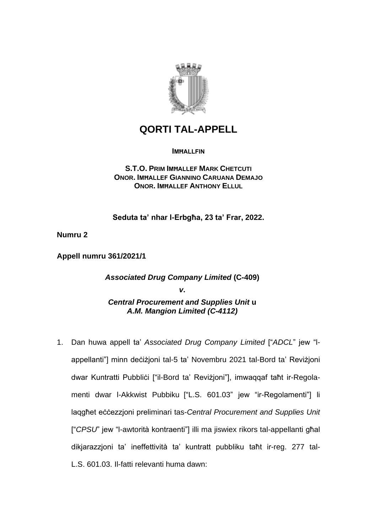

## **QORTI TAL-APPELL**

**IMHALLFIN** 

**S.T.O. PRIM IMĦALLEF MARK CHETCUTI ONOR. IMĦALLEF GIANNINO CARUANA DEMAJO ONOR. IMĦALLEF ANTHONY ELLUL**

**Seduta ta' nhar l-Erbgħa, 23 ta' Frar, 2022.**

**Numru 2**

**Appell numru 361/2021/1**

*Associated Drug Company Limited* **(C-409)** *v***.** *Central Procurement and Supplies Unit* **u** *A.M. Mangion Limited (C-4112)*

1. Dan huwa appell ta' *Associated Drug Company Limited* ["*ADCL*" jew "lappellanti"] minn deċiżjoni tal-5 ta' Novembru 2021 tal-Bord ta' Reviżjoni dwar Kuntratti Pubbliċi ["il-Bord ta' Reviżjoni"], imwaqqaf taħt ir-Regolamenti dwar l-Akkwist Pubbiku ["L.S. 601.03" jew "ir-Regolamenti"] li laqgħet eċċezzjoni preliminari tas-*Central Procurement and Supplies Unit* ["*CPSU*" jew "l-awtorità kontraenti"] illi ma jiswiex rikors tal-appellanti għal dikjarazzjoni ta' ineffettività ta' kuntratt pubbliku taħt ir-reg. 277 tal-L.S. 601.03. Il-fatti relevanti huma dawn: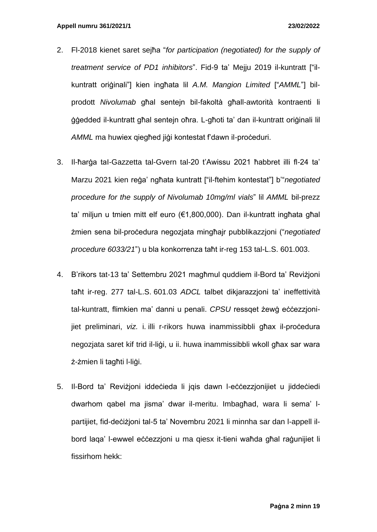- 2. Fl-2018 kienet saret sejħa "*for participation (negotiated) for the supply of treatment service of PD1 inhibitors*". Fid-9 ta' Mejju 2019 il-kuntratt ["ilkuntratt oriġinali"] kien ingħata lil *A.M. Mangion Limited* ["*AMML*"] bilprodott *Nivolumab* għal sentejn bil-fakoltà għall-awtorità kontraenti li ġġedded il-kuntratt għal sentejn oħra. L-għoti ta' dan il-kuntratt oriġinali lil *AMML* ma huwiex qiegħed jiġi kontestat f'dawn il-proċeduri.
- 3. Il-ħarġa taI-Gazzetta tal-Gvern tal-20 t'Awissu 2021 ħabbret illi fl-24 ta' Marzu 2021 kien reġa' ngħata kuntratt ["il-ftehim kontestat"] b'"*negotiated procedure for the supply of Nivolumab 10mg/ml vials*" lil *AMML* bil-prezz ta' miljun u tmien mitt elf euro (€1,800,000). Dan il-kuntratt ingħata għal żmien sena bil-proċedura negozjata mingħajr pubblikazzjoni ("*negotiated procedure 6033/21*") u bla konkorrenza taħt ir-reg 153 tal-L.S. 601.003.
- 4. B'rikors tat-13 ta' Settembru 2021 magħmul quddiem il-Bord ta' Reviżjoni taħt ir-reg. 277 tal-L.S. 601.03 *ADCL* talbet dikjarazzjoni ta' ineffettività tal-kuntratt, flimkien ma' danni u penali. *CPSU* ressqet żewġ eċċezzjonijiet preliminari, *viz.* i. illi r-rikors huwa inammissibbli għax il-procedura negozjata saret kif trid il-liġi, u ii. huwa inammissibbli wkoll għax sar wara ż-żmien li tagħti l-liġi.
- 5. Il-Bord ta' Reviżjoni iddeċieda li jqis dawn l-eċċezzjonijiet u jiddeċiedi dwarhom qabel ma jisma' dwar il-meritu. Imbagħad, wara li sema' lpartijiet, fid-deċiżjoni tal-5 ta' Novembru 2021 li minnha sar dan l-appell ilbord laqa' l-ewwel eċċezzjoni u ma qiesx it-tieni waħda għal raġunijiet li fissirhom hekk: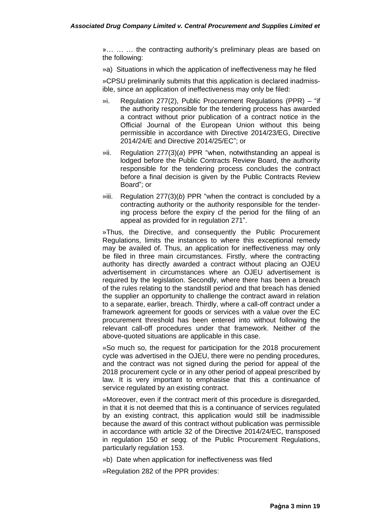»… … … the contracting authority's preliminary pleas are based on the following:

»a) Situations in which the application of ineffectiveness may he filed

»CPSU preliminarily submits that this application is declared inadmissible, since an application of ineffectiveness may only be filed:

- »i. Regulation 277(2), Public Procurement Regulations (PPR) "if the authority responsible for the tendering process has awarded a contract without prior publication of a contract notice in the Official Journal of the European Union without this being permissible in accordance with Directive 2014/23/EG, Directive 2014/24/E and Directive 2014/25/EC"; or
- »ii. Regulation 277(3)(*a*) PPR "when, notwithstanding an appeal is lodged before the Public Contracts Review Board, the authority responsible for the tendering process concludes the contract before a final decision is given by the Public Contracts Review Board"; or
- »iii. Regulation 277(3)(*b*) PPR "when the contract is concluded by a contracting authority or the authority responsible for the tendering process before the expiry cf the period for the filing of an appeal as provided for in regulation 271".

»Thus, the Directive, and consequently the Public Procurement Regulations, limits the instances to where this exceptional remedy may be availed of. Thus, an application for ineffectiveness may only be filed in three main circumstances. Firstly, where the contracting authority has directly awarded a contract without placing an OJEU advertisement in circumstances where an OJEU advertisement is required by the legislation. Secondly, where there has been a breach of the rules relating to the standstill period and that breach has denied the supplier an opportunity to challenge the contract award in relation to a separate, earlier, breach. Thirdly, where a call-off contract under a framework agreement for goods or services with a value over the EC procurement threshold has been entered into without following the relevant call-off procedures under that framework. Neither of the above-quoted situations are applicable in this case.

»So much so, the request for participation for the 2018 procurement cycle was advertised in the OJEU, there were no pending procedures, and the contract was not signed during the period for appeal of the 2018 procurement cycle or in any other period of appeal prescribed by law. It is very important to emphasise that this a continuance of service regulated by an existing contract.

»Moreover, even if the contract merit of this procedure is disregarded, in that it is not deemed that this is a continuance of services regulated by an existing contract, this application would still be inadmissible because the award of this contract without publication was permissible in accordance with article 32 of the Directive 2014/24/EC, transposed in regulation 150 *et seqq.* of the Public Procurement Regulations, particularly regulation 153.

»b) Date when application for ineffectiveness was filed

»Regulation 282 of the PPR provides: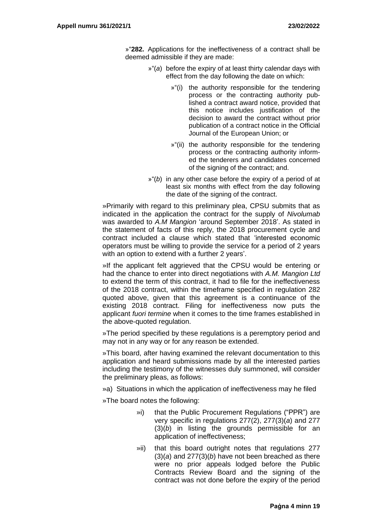»"**282.** Applications for the ineffectiveness of a contract shall be deemed admissible if they are made:

- »"(*a*) before the expiry of at least thirty calendar days with effect from the day following the date on which:
	- »"(i) the authority responsible for the tendering process or the contracting authority published a contract award notice, provided that this notice includes justification of the decision to award the contract without prior publication of a contract notice in the Official Journal of the European Union; or
	- »"(ii) the authority responsible for the tendering process or the contracting authority informed the tenderers and candidates concerned of the signing of the contract; and.
- »"(*b*) in any other case before the expiry of a period of at least six months with effect from the day following the date of the signing of the contract.

»Primarily with regard to this preliminary plea, CPSU submits that as indicated in the application the contract for the supply of *Nivolumab* was awarded to *A.M Mangion* 'around September 2018'. As stated in the statement of facts of this reply, the 2018 procurement cycle and contract included a clause which stated that 'interested economic operators must be willing to provide the service for a period of 2 years with an option to extend with a further 2 years'.

»If the applicant felt aggrieved that the CPSU would be entering or had the chance to enter into direct negotiations with *A.M. Mangion Ltd* to extend the term of this contract, it had to file for the ineffectiveness of the 2018 contract, within the timeframe specified in regulation 282 quoted above, given that this agreement is a continuance of the existing 2018 contract. Filing for ineffectiveness now puts the applicant *fuori termine* when it comes to the time frames established in the above-quoted regulation.

»The period specified by these regulations is a peremptory period and may not in any way or for any reason be extended.

»This board, after having examined the relevant documentation to this application and heard submissions made by all the interested parties including the testimony of the witnesses duly summoned, will consider the preliminary pleas, as follows:

»a) Situations in which the application of ineffectiveness may he filed

»The board notes the following:

- »i) that the Public Procurement Regulations ("PPR") are very specific in regulations 277(2), 277(3)(*a*) and 277 (3)(*b*) in listing the grounds permissible for an application of ineffectiveness;
- »ii) that this board outright notes that regulations 277 (3)(*a*) and 277(3)(*b*) have not been breached as there were no prior appeals lodged before the Public Contracts Review Board and the signing of the contract was not done before the expiry of the period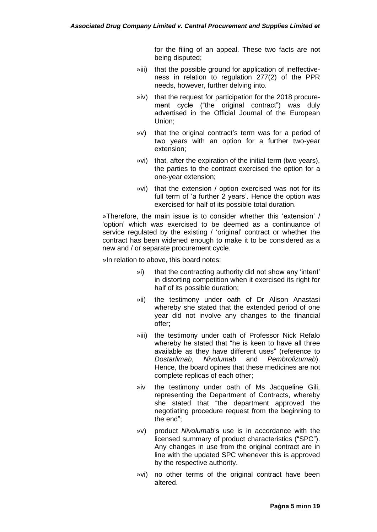for the filing of an appeal. These two facts are not being disputed;

- »iii) that the possible ground for application of ineffectiveness in relation to regulation 277(2) of the PPR needs, however, further delving into.
- »iv) that the request for participation for the 2018 procurement cycle ("the original contract") was duly advertised in the Official Journal of the European Union;
- »v) that the original contract's term was for a period of two years with an option for a further two-year extension;
- »vi) that, after the expiration of the initial term (two years), the parties to the contract exercised the option for a one-year extension;
- »vi) that the extension / option exercised was not for its full term of 'a further 2 years'. Hence the option was exercised for half of its possible total duration.

»Therefore, the main issue is to consider whether this 'extension' / 'option' which was exercised to be deemed as a continuance of service regulated by the existing / 'original' contract or whether the contract has been widened enough to make it to be considered as a new and / or separate procurement cycle.

»In relation to above, this board notes:

- »i) that the contracting authority did not show any 'intent' in distorting competition when it exercised its right for half of its possible duration;
- »ii) the testimony under oath of Dr Alison Anastasi whereby she stated that the extended period of one year did not involve any changes to the financial offer;
- »iii) the testimony under oath of Professor Nick Refalo whereby he stated that "he is keen to have all three available as they have different uses" (reference to *Dostarlimab*, *Nivolumab* and *Pembrolizumab*). Hence, the board opines that these medicines are not complete replicas of each other;
- »iv the testimony under oath of Ms Jacqueline Gili, representing the Department of Contracts, whereby she stated that "the department approved the negotiating procedure request from the beginning to the end";
- »v) product *Nivolumab*'s use is in accordance with the licensed summary of product characteristics ("SPC"). Any changes in use from the original contract are in line with the updated SPC whenever this is approved by the respective authority.
- »vi) no other terms of the original contract have been altered.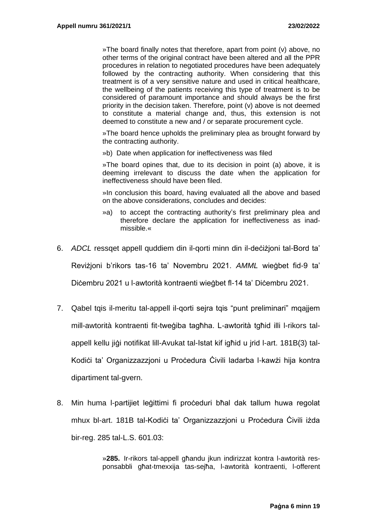»The board finally notes that therefore, apart from point (v) above, no other terms of the original contract have been altered and all the PPR procedures in relation to negotiated procedures have been adequately followed by the contracting authority. When considering that this treatment is of a very sensitive nature and used in critical healthcare, the wellbeing of the patients receiving this type of treatment is to be considered of paramount importance and should always be the first priority in the decision taken. Therefore, point (v) above is not deemed to constitute a material change and, thus, this extension is not deemed to constitute a new and / or separate procurement cycle.

»The board hence upholds the preliminary plea as brought forward by the contracting authority.

»b) Date when application for ineffectiveness was filed

»The board opines that, due to its decision in point (a) above, it is deeming irrelevant to discuss the date when the application for ineffectiveness should have been filed.

»In conclusion this board, having evaluated all the above and based on the above considerations, concludes and decides:

- »a) to accept the contracting authority's first preliminary plea and therefore declare the application for ineffectiveness as inadmissible.«
- 6. *ADCL* ressqet appell quddiem din il-qorti minn din il-deċiżjoni tal-Bord ta'

Reviżjoni b'rikors tas-16 ta' Novembru 2021. *AMML* wieġbet fid-9 ta'

Diċembru 2021 u l-awtorità kontraenti wieġbet fl-14 ta' Diċembru 2021.

- 7. Qabel tqis il-meritu tal-appell il-qorti sejra tqis "punt preliminari" mqajjem mill-awtorità kontraenti fit-tweġiba tagħha. L-awtorità tgħid illi l-rikors talappell kellu jiġi notifikat lill-Avukat tal-Istat kif igħid u jrid l-art. 181B(3) tal-Kodići ta' Organizzazzjoni u Proćedura Civili ladarba l-kawżi hija kontra dipartiment tal-gvern.
- 8. Min huma l-partijiet leģittimi fi proceduri bħal dak tallum huwa regolat mhux bl-art. 181B tal-Kodiċi ta' Organizzazzjoni u Proċedura Ċivili iżda bir-reg. 285 tal-L.S. 601.03:

»**285.** Ir-rikors tal-appell għandu jkun indirizzat kontra l-awtorità responsabbli għat-tmexxija tas-sejħa, l-awtorità kontraenti, l-offerent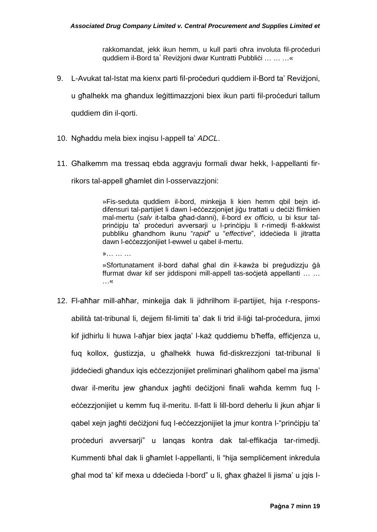rakkomandat, jekk ikun hemm, u kull parti oħra involuta fil-proċeduri quddiem il-Bord ta' Revizioni dwar Kuntratti Pubblici ... ... ... «

9. L-Avukat tal-Istat ma kienx parti fil-proceduri quddiem il-Bord ta' Revizjoni,

u għalhekk ma għandux leġittimazzjoni biex ikun parti fil-proċeduri tallum

quddiem din il-qorti.

- 10. Ngħaddu mela biex inqisu l-appell ta' *ADCL*.
- 11. Għalkemm ma tressaq ebda aggravju formali dwar hekk, l-appellanti fir-

rikors tal-appell għamlet din l-osservazzjoni:

»Fis-seduta quddiem il-bord, minkejja li kien hemm qbil bejn iddifensuri tal-partijiet li dawn l-eċċezzjonijet jiġu trattati u deċiżi flimkien mal-mertu (*salv* it-talba għad-danni), il-bord *ex officio,* u bi ksur talprinċipju ta' proċeduri avversarii u l-prinċipju li r-rimedii fl-akkwist pubbliku għandhom ikunu "*rapid*" u "*effective*", iddeċieda li jitratta dawn l-eċċezzjonijiet l-ewwel u qabel il-mertu.

»… … …

»Sfortunatament il-bord daħal għal din il-kawża bi preġudizzju ġà ffurmat dwar kif ser jiddisponi mill-appell tas-soċjetà appellanti … … …«

12. Fl-aħħar mill-aħħar, minkejja dak li jidhrilhom il-partijiet, hija r-responsabilità tat-tribunal li, dejjem fil-limiti ta' dak li trid il-liġi tal-proċedura, jimxi kif jidhirlu li huwa l-aħjar biex jaqta' l-każ quddiemu b'ħeffa, effiċjenza u, fuq kollox, ġustizzja, u għalhekk huwa fid-diskrezzjoni tat-tribunal li jiddeċiedi għandux iqis eċċezzjonijiet preliminari għalihom qabel ma jisma' dwar il-meritu jew għandux jagħti deċiżjoni finali waħda kemm fuq leċċezzjonijiet u kemm fuq il-meritu. Il-fatt li lill-bord deherlu li jkun aħjar li qabel xejn jagħti deċiżjoni fuq l-eċċezzjonijiet la jmur kontra l-"prinċipju ta' proċeduri avversarji" u lanqas kontra dak tal-effikaċja tar-rimedji. Kummenti bħal dak li għamlet l-appellanti, li "hija sempliċement inkredula għal mod ta' kif mexa u ddeċieda l-bord" u li, għax għażel li jisma' u jqis l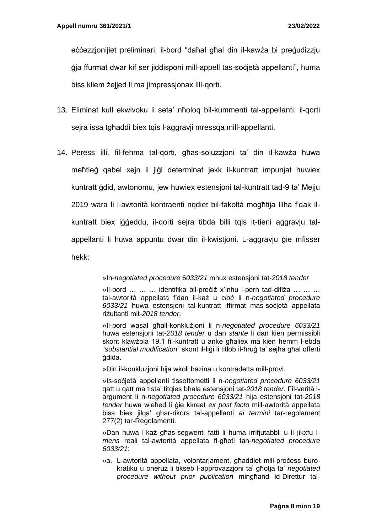eċċezzjonijiet preliminari, il-bord "daħal għal din il-kawża bi preġudizzju ġja ffurmat dwar kif ser jiddisponi mill-appell tas-soċjetà appellanti", huma biss kliem żejjed li ma jimpressjonax lill-qorti.

- 13. Eliminat kull ekwivoku li seta' nħoloq bil-kummenti tal-appellanti, il-qorti sejra issa tgħaddi biex tqis l-aggravji mressqa mill-appellanti.
- 14. Peress illi, fil-fehma tal-qorti, għas-soluzzjoni ta' din il-kawża huwa meħtieġ qabel xejn li jiġi determinat jekk il-kuntratt impunjat huwiex kuntratt ġdid, awtonomu, jew huwiex estensjoni tal-kuntratt tad-9 ta' Mejju 2019 wara li l-awtorità kontraenti nqdiet bil-fakoltà mogħtija lilha f'dak ilkuntratt biex iġġeddu, il-qorti sejra tibda billi tqis it-tieni aggravju talappellanti li huwa appuntu dwar din il-kwistjoni. L-aggravju ġie mfisser hekk:

»In-*negotiated procedure* 6*033/21* mhux estensjoni tat-*2018 tender*

»Il-bord … … … identifika bil-preċiż x'inhu l-pern tad-difiża … … … tal-awtorità appellata f'dan il-każ u *cioè* li n-*negotiated procedure 6033/21* huwa estensjoni tal-kuntratt iffirmat mas-soċjetà appellata riżultanti mit-*2018 tender*.

»Il-bord wasal għall-konklużjoni li n-*negotiated procedure 6033/21* huwa estensjoni tat-*2018 tender* u dan *stante* li dan kien permissibli skont klawżola 19.1 fil-kuntratt u anke għaliex ma kien hemm l-ebda "*substantial modification*" skont il-liġi li titlob il-ħruġ ta' sejħa għal offerti ġdida.

»Din il-konklużjoni hija wkoll ħazina u kontradetta mill-provi.

»Is-soċjetà appellanti tissottometti li n-*negotiated procedure 6033/21* qatt u qatt ma tista' titqies bħala estensjoni tat-*2018 tender*. Fil-verità largument li n-*negotiated procedure 6033/21* hija estensjoni tat-*2018 tender* huwa wieħed li ġie kkreat *ex post facto* mill-awtorità appellata biss biex jilqa' għar-rikors tal-appellanti *ai termini* tar-regolament 277(2) tar-Regolamenti.

»Dan huwa l-każ għas-segwenti fatti li huma irrifjutabbli u li jikxfu l*mens* reali tal-awtorità appellata fl-għoti tan-*negotiated procedure 6033/21*:

»a. L-awtorità appellata, volontariament, ghaddiet mill-process burokratiku u oneruż li tikseb l-approvazzjoni ta' għotja ta' *negotiated procedure without prior publication* mingħand id-Direttur tal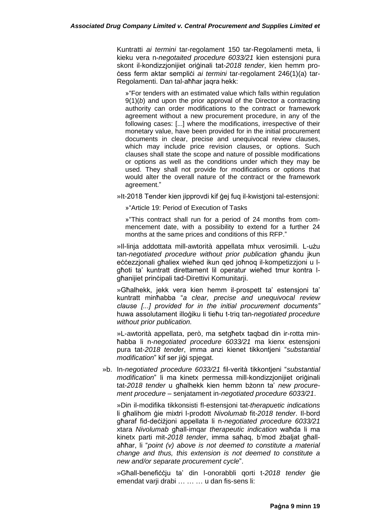Kuntratti *ai termini* tar-regolament 150 tar-Regolamenti meta, li kieku vera n-*negotaited procedure 6033/21* kien estensjoni pura skont il-kondizzjonijiet oriġinali tat-*2018 tender*, kien hemm proċess ferm aktar sempliċi *ai termini* tar-regolament 246(1)(a) tar-Regolamenti. Dan tal-aħħar jaqra hekk:

»"For tenders with an estimated value which falls within regulation 9(1)(*b*) and upon the prior approval of the Director a contracting authority can order modifications to the contract or framework agreement without a new procurement procedure, in any of the following cases: [...] where the modifications, irrespective of their monetary value, have been provided for in the initial procurement documents in clear, precise and unequivocal review clauses, which may include price revision clauses, or options. Such clauses shall state the scope and nature of possible modifications or options as well as the conditions under which they may be used. They shall not provide for modifications or options that would alter the overall nature of the contract or the framework agreement."

»It-2018 Tender kien jipprovdi kif ġej fuq il-kwistjoni tal-estensjoni:

»"Article 19: Period of Execution of Tasks

»"This contract shall run for a period of 24 months from commencement date, with a possibility to extend for a further 24 months at the same prices and conditions of this RFP."

»Il-linja addottata mill-awtorità appellata mhux verosimili. L-użu tan-*negotiated procedure without prior publication* għandu jkun eċċezzjonali għaliex wieħed ikun qed joħnoq il-kompetizzjoni u lgħoti ta' kuntratt direttament lil operatur wieħed tmur kontra lgħanijiet prinċipali tad-Direttivi Komunitarji.

»Għalhekk, jekk vera kien hemm il-prospett ta' estensjoni ta' kuntratt minħabba "*a clear, precise and unequivocal review clause [...] provided for in the initial procurement documents"*  huwa assolutament illoġiku li tieħu t-triq tan-*negotiated procedure without prior publication.* 

»L-awtorità appellata, però, ma setgħetx taqbad din ir-rotta minħabba li n-*negotiated procedure 6033/21* ma kienx estensjoni pura tat-*2018 tender*, imma anzi kienet tikkontjeni "*substantial modification*" kif ser jiġi spjegat.

»b. In-*negotiated procedure 6033/21* fil-verità tikkontjeni "*substantial modification*" li ma kinetx permessa mill-kondizzionijiet originali tat-*2018 tender* u għalhekk kien hemm bżonn ta' *new procurement procedure* – senjatament in-*negotiated procedure 6033/21*.

»Din il-modifika tikkonsisti fl-estensjoni tat-*therapuetic indications* li għalihom ġie mixtri l-prodott *Nivolumab* fit-*2018 tender*. Il-bord għaraf fid-deċiżjoni appellata li n-*negotiated procedure 6033/21* xtara *Nivolumab* għall-imqar *therapeutic indication* waħda li ma kinetx parti mit-*2018 tender*, imma saħaq, b'mod żbaljat għallaħħar, li "*point (v) above is not deemed to constitute a material change and thus, this extension is not deemed to constitute a new and/or separate procurement cycle*".

»Għall-benefiċċju ta' din l-onorabbli qorti t-*2018 tender* ġie emendat varji drabi ... ... ... u dan fis-sens li: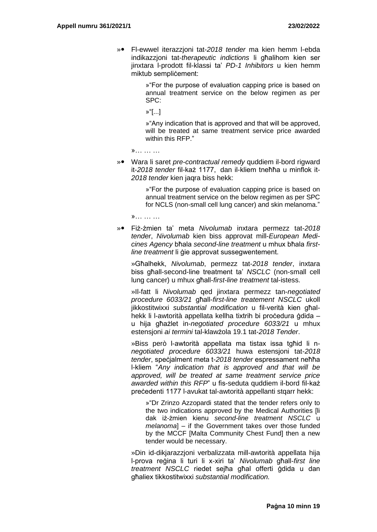» Fl-ewwel iterazzjoni tat-*2018 tender* ma kien hemm l-ebda indikazzjoni tat-*therapeutic indictions* li għalihom kien ser jinxtara l-prodott fil-klassi ta' *PD-1 Inhibitors* u kien hemm miktub semplicement:

> »"For the purpose of evaluation capping price is based on annual treatment service on the below regimen as per SPC:

»"[...]

»"Any indication that is approved and that will be approved, will be treated at same treatment service price awarded within this RFP."

»… … …

» Wara li saret *pre-contractual remedy* quddiem il-bord rigward it-*2018 tender* fil-każ 1177, dan il-kliem tneħħa u minflok it-*2018 tender* kien jaqra biss hekk:

> »"For the purpose of evaluation capping price is based on annual treatment service on the below regimen as per SPC for NCLS (non-small cell lung cancer) and skin melanoma."

»… … …

» Fiż-żmien ta' meta *Nivolumab* inxtara permezz tat-*2018 tender*, *Nivolumab* kien biss approvat mill-*European Medicines Agency* bħala *second-line treatment* u mhux bħala *firstline treatment* li ġie approvat sussegwentement.

»Għalhekk, *Nivolumab*, permezz tat-*2018 tender*, inxtara biss għall-second-line treatment ta' *NSCLC* (non-small cell lung cancer) u mhux għall-*first-line treatment* tal-istess.

»Il-fatt li *Nivolumab* qed jinxtara permezz tan-*negotiated procedure 6033/21* għall-*first-line treatement NSCLC* ukoll jikkostitwixxi *substantial modification* u fil-verità kien għalhekk li l-awtorità appellata kellha tixtrih bi proċedura ġdida – u hija għażlet in-*negotiated procedure 6033/21* u mhux estensjoni *ai termini* tal-klawżola 19.1 tat-*2018 Tender*.

»Biss però l-awtorità appellata ma tistax issa tgħid li n*negotiated procedure 6033/21* huwa estensjoni tat-*2018 tender*, speċjalment meta t-*2018 tender* espressament neħħa l-kliem "*Any indication that is approved and that will be approved, will be treated at same treatment service price awarded within this RFP*" u fis-seduta quddiem il-bord fil-każ preċedenti 1177 l-avukat tal-awtorità appellanti stqarr hekk:

»"Dr Zrinzo Azzopardi stated that the tender refers only to the two indications approved by the Medical Authorities [li dak iż-żmien kienu *second-line treatment NSCLC* u *melanoma*] – if the Government takes over those funded by the MCCF [Malta Community Chest Fund] then a new tender would be necessary.

»Din id-dikjarazzjoni verbalizzata mill-awtorità appellata hija l-prova reġina li turi li x-xiri ta' *Nivolumab* għall-*first line treatment NSCLC* riedet sejħa għal offerti ġdida u dan għaliex tikkostitwixxi *substantial modification.*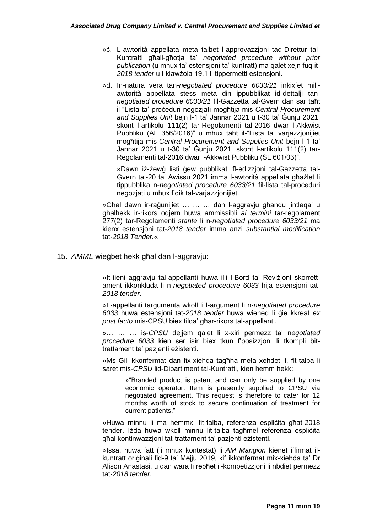- »ċ. L-awtorità appellata meta talbet l-approvazzjoni tad-Direttur tal-Kuntratti għall-għotja ta' *negotiated procedure without prior publication* (u mhux ta' estensjoni ta' kuntratt) ma qalet xejn fuq it-*2018 tender* u l-klawżola 19.1 li tippermetti estensjoni.
- »d. In-natura vera tan-*negotiated procedure 6033/21* inkixfet millawtorità appellata stess meta din ippubblikat id-dettalji tan*negotiated procedure 6033/21* fil-Gazzetta tal-Gvern dan sar taħt il-"Lista ta' proċeduri negozjati mogħtija mis-*Central Procurement and Supplies Unit* bejn l-1 ta' Jannar 2021 u t-30 ta' Ġunju 2021, skont l-artikolu 111(2) tar-Regolamenti tal-2016 dwar l-Akkwist Pubbliku (AL 356/2016)" u mhux taht il-"Lista ta' varjazzjonijiet mogħtija mis-*Central Procurement and Supplies Unit* bejn l-1 ta' Jannar 2021 u t-30 ta' Ġunju 2021, skont l-artikolu 111(2) tar-Regolamenti tal-2016 dwar l-Akkwist Pubbliku (SL 601/03)".

»Dawn iż-żewġ listi ġew pubblikati fl-edizzjoni tal-Gazzetta tal-Gvern tal-20 ta' Awissu 2021 imma l-awtorità appellata għażlet li tippubblika n-*negotiated procedure 6033/21* fil-lista tal-proceduri negozjati u mhux f'dik tal-varjazzjonijiet.

»Għal dawn ir-raġunijiet … … … dan l-aggravju għandu jintlaqa' u għalhekk ir-rikors odjern huwa ammissibli *ai termini* tar-regolament 277(2) tar-Regolamenti *stante* li n-*negotiated procedure 6033/21* ma kienx estensjoni tat-*2018 tender* imma anzi *substantial modification*  tat-*2018 Tender.*«

15. *AMML* wieġbet hekk għal dan l-aggravju:

»It-tieni aggravju tal-appellanti huwa illi l-Bord ta' Reviżjoni skorrettament ikkonkluda li n-*negotiated procedure 6033* hija estensjoni tat-*2018 tender*.

»L-appellanti targumenta wkoll li l-argument li n-*negotiated procedure 6033* huwa estensjoni tat-*2018 tender* huwa wieħed li ġie kkreat *ex post facto* mis-CPSU biex tilqa' għar-rikors tal-appellanti.

»… … … is-*CPSU* dejjem qalet li x-xiri permezz ta' n*egotiated procedure 6033* kien ser isir biex tkun f'posizzjoni li tkompli bittrattament ta' pazjenti eżistenti.

»Ms Gili kkonfermat dan fix-xiehda tagħha meta xehdet li, fit-talba li saret mis-*CPSU* lid-Dipartiment tal-Kuntratti, kien hemm hekk:

> »"Branded product is patent and can only be supplied by one economic operator. Item is presently supplied to CPSU via negotiated agreement. This request is therefore to cater for 12 months worth of stock to secure continuation of treatment for current patients."

»Huwa minnu li ma hemmx, fit-talba, referenza espliċita għat-2018 tender. Iżda huwa wkoll minnu lit-talba tagħmel referenza espliċita għal kontinwazzjoni tat-trattament ta' pazjenti eżistenti.

»Issa, huwa fatt (li mhux kontestat) li *AM Mangion* kienet iffirmat ilkuntratt oriġinali fid-9 ta' Mejju 2019, kif ikkonfermat mix-xiehda ta' Dr Alison Anastasi, u dan wara li rebħet il-kompetizzjoni li nbdiet permezz tat-*2018 tender*.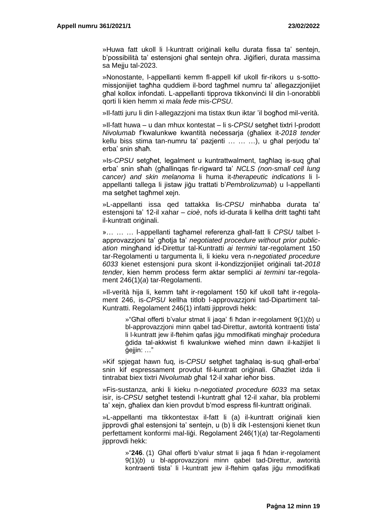»Huwa fatt ukoll li l-kuntratt oriġinali kellu durata fissa ta' sentejn, b'possibilità ta' estensjoni għal sentejn oħra. Jiġifieri, durata massima sa Mejju tal-2023.

»Nonostante, l-appellanti kemm fl-appell kif ukoll fir-rikors u s-sottomissjonijiet tagħha quddiem il-bord tagħmel numru ta' allegazzjonijiet għal kollox infondati. L-appellanti tipprova tikkonvinċi lil din l-onorabbli qorti li kien hemm xi *mala fede* mis-*CPSU*.

»Il-fatti juru li din l-allegazzjoni ma tistax tkun iktar 'il bogħod mil-verità.

»Il-fatt huwa – u dan mhux kontestat – li s-*CPSU* setgħet tixtri l-prodott *Nivolumab* f'kwalunkwe kwantità neċessarja (għaliex it-*2018 tender* kellu biss stima tan-numru ta' pazjenti … … …), u għal perjodu ta' erba' snin sħaħ.

»Is-*CPSU* setgħet, legalment u kuntrattwalment, tagħlaq is-suq għal erba' snin sħah (għallinqas fir-rigward ta' *NCLS (non-small cell lung cancer) and skin melanoma* li huma it-*therapeutic indications* li lappellanti tallega li jistaw jiġu trattati b'*Pembrolizumab*) u l-appellanti ma setgħet tagħmel xejn.

»L-appellanti issa qed tattakka lis-*CPSU* minħabba durata ta' estensjoni ta' 12-il xahar – *cioè*, nofs id-durata li kellha dritt tagħti taħt il-kuntratt oriġinali.

»… … … l-appellanti tagħamel referenza għall-fatt li *CPSU* talbet lapprovazzioni ta' ghotia ta' *negotiated procedure without prior publication* mingħand id-Direttur tal-Kuntratti *ai termini* tar-regolament 150 tar-Regolamenti u targumenta li, li kieku vera n-*negotiated procedure 6033* kienet estensjoni pura skont il-kondizzjonijiet oriġinali tat-*2018 tender*, kien hemm proċess ferm aktar sempliċi *ai termini* tar-regolament 246(1)(*a*) tar-Regolamenti.

»Il-verità hija li, kemm taħt ir-regolament 150 kif ukoll taħt ir-regolament 246, is-*CPSU* kellha titlob l-approvazzjoni tad-Dipartiment tal-Kuntratti. Regolament 246(1) infatti jipprovdi hekk:

> »"Għal offerti b'valur stmat li jaqa' fi ħdan ir-regolament 9(1)(*b*) u bl-approvazzjoni minn qabel tad-Direttur, awtorità kontraenti tista' li l-kuntratt jew il-ftehim qafas jiġu mmodifikati mingħajr proċedura ġdida tal-akkwist fi kwalunkwe wieħed minn dawn il-każijiet li ġejjin: …"

»Kif spjegat hawn fuq, is-*CPSU* setgħet tagħalaq is-suq għall-erba' snin kif espressament provdut fil-kuntratt oriġinali. Għażlet iżda li tintrabat biex tixtri *Nivolumab* għal 12-il xahar ieħor biss.

»Fis-sustanza, anki li kieku n-*negotiated procedure 6033* ma setax isir, is-*CPSU* setgħet testendi l-kuntratt għal 12-il xahar, bla problemi ta' xejn, għaliex dan kien provdut b'mod espress fil-kuntratt oriġinali.

»L-appellanti ma tikkontestax il-fatt li (a) il-kuntratt oriġinali kien jipprovdi għal estensjoni ta' sentejn, u (b) li dik l-estensjoni kienet tkun perfettament konformi mal-liġi. Regolament 246(1)(*a*) tar-Regolamenti jipprovdi hekk:

> »"**246**. (1) Għal offerti b'valur stmat li jaqa fi ħdan ir-regolament 9(1)(*b*) u bl-approvazzjoni minn qabel tad-Direttur, awtorità kontraenti tista' li l-kuntratt jew il-ftehim qafas jiġu mmodifikati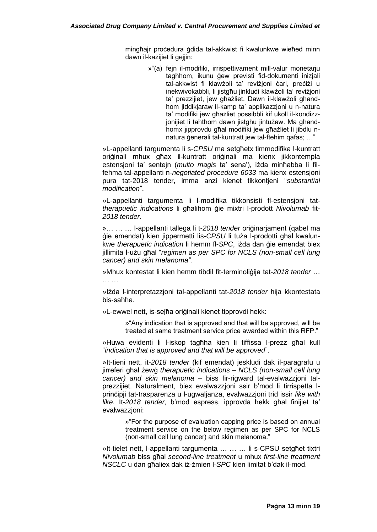mingħajr proċedura ġdida tal-akkwist fi kwalunkwe wieħed minn dawn il-każijiet li *gejjin*:

> »"(a) fein il-modifiki, irrispettivament mill-valur monetariu tagħhom, ikunu ġew previsti fid-dokumenti inizjali tal-akkwist fi klawżoli ta' reviżjoni ċari, preċiżi u inekwivokabbli, li jistgħu jinkludi klawżoli ta' reviżjoni ta' prezzijiet, jew għażliet. Dawn il-klawżoli għandhom jiddikjaraw il-kamp ta' applikazzjoni u n-natura ta' modifiki jew għażliet possibbli kif ukoll il-kondizzjonijiet li taħthom dawn jistgħu jintużaw. Ma għandhomx jipprovdu għal modifiki jew għażliet li jibdlu nnatura ġenerali tal-kuntratt jew tal-ftehim qafas; …"

»L-appellanti targumenta li s-*CPSU* ma setgħetx timmodifika l-kuntratt oriġinali mhux għax il-kuntratt oriġinali ma kienx jikkontempla estensjoni ta' sentejn (*multo magis* ta' sena'), iżda minħabba li filfehma tal-appellanti n-*negotiated procedure 6033* ma kienx estensjoni pura tat-2018 tender, imma anzi kienet tikkontjeni "*substantial modification*".

»L-appellanti targumenta li l-modifika tikkonsisti fl-estensjoni tat*therapuetic indications* li għalihom ġie mixtri l-prodott *Nivolumab* fit-*2018 tender*.

»… … … l-appellanti tallega li t-*2018 tender* oriġinarjament (qabel ma ġie emendat) kien jippermetti lis-*CPSU* li tuża l-prodotti għal kwalunkwe *therapuetic indication* li hemm fl-*SPC*, iżda dan ġie emendat biex jillimita l-użu għal "*regimen as per SPC for NCLS (non-small cell lung cancer) and skin melanoma".* 

»Mhux kontestat li kien hemm tibdil fit-terminoliġija tat-*2018 tender* … … …

»Iżda l-interpretazzjoni tal-appellanti tat-*2018 tender* hija kkontestata bis-saħħa.

»L-ewwel nett, is-sejħa oriġinali kienet tipprovdi hekk:

»"Any indication that is approved and that will be approved, will be treated at same treatment service price awarded within this RFP."

»Huwa evidenti li l-iskop tagħha kien li tiffissa l-prezz għal kull "*indication that is approved and that will be approved*".

»It-tieni nett, it-*2018 tender* (kif emendat) jeskludi dak il-paragrafu u jirreferi għal żewġ *therapuetic indications* – *NCLS (non-small cell lung cancer) and skin melanoma* – biss fir-rigward tal-evalwazzjoni talprezzijiet. Naturalment, biex evalwazzjoni ssir b'mod li tirrispetta lprinċipji tat-trasparenza u l-ugwaljanza, evalwazzjoni trid issir *like with like*. It-*2018 tender*, b'mod espress, ipprovda hekk għal finijiet ta' evalwazzjoni:

> »"For the purpose of evaluation capping price is based on annual treatment service on the below regimen as per SPC for NCLS (non-small cell lung cancer) and skin melanoma."

»It-tielet nett, l-appellanti targumenta … … … li s-CPSU setgħet tixtri *Nivolumab* biss għal *second-line treatment* u mhux *first-line treatment NSCLC* u dan għaliex dak iż-żmien l-*SPC* kien limitat b'dak il-mod.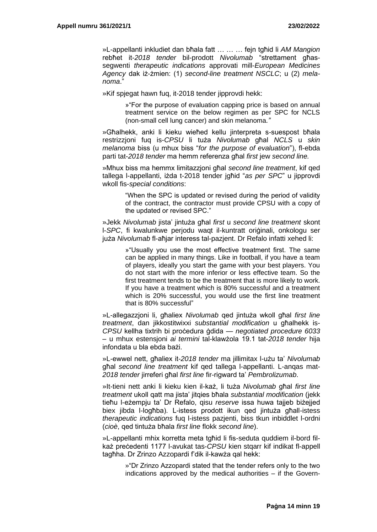»L-appellanti inkludiet dan bħala fatt … … … fejn tgħid li *AM Mangion* rebħet it-*2018 tender* bil-prodott *Nivolumab* "strettament għassegwenti *therapeutic indications* approvati mill-*European Medicines Agency* dak iż-żmien: (1) *second-line treatment NSCLC*; u (2) *melanoma*."

»Kif spjegat hawn fuq, it-2018 tender jipprovdi hekk:

»"For the purpose of evaluation capping price is based on annual treatment service on the below regimen as per SPC for NCLS (non-small cell lung cancer) and skin melanoma*."* 

»Għalhekk, anki li kieku wieħed kellu jinterpreta s-suespost bħala restrizzjoni fuq is-*CPSU* li tuża *Nivolumab* għal *NCLS* u *skin melanoma* biss (u mhux biss "*for the purpose of evaluation*"), fl-ebda parti tat-*2018 tender* ma hemm referenza għal *first* jew *second line.*

»Mhux biss ma hemmx limitazzjoni għal *second line treatment*, kif qed tallega l-appellanti, iżda t-2018 tender jgħid "*as per SPC*" u jipprovdi wkoll fis-*special conditions*:

> "When the SPC is updated or revised during the period of validity of the contract, the contractor must provide CPSU with a copy of the updated or revised SPC."

»Jekk *Nivolumab* jista' jintuża għal *first* u *second line treatment* skont l-*SPC*, fi kwalunkwe perjodu waqt il-kuntratt oriġinali, onkologu ser juża *Nivolumab* fl-aħjar interess tal-pazjent. Dr Refalo infatti xehed li:

> »"Usually you use the most effective treatment first. The same can be applied in many things. Like in football, if you have a team of players, ideally you start the game with your best players. You do not start with the more inferior or less effective team. So the first treatment tends to be the treatment that is more likely to work. If you have a treatment which is 80% successful and a treatment which is 20% successful, you would use the first line treatment that is 80% successful"

»L-allegazzjoni li, għaliex *Nivolumab* qed jintuża wkoll għal *first line treatment*, dan jikkostitwixxi *substantial modification* u għalhekk is-*CPSU* kellha tixtrih bi proċedura ġdida — *negotiated procedure 6033* – u mhux estensjoni *ai termini* tal-klawżola 19.1 tat-*2018 tender* hija infondata u bla ebda bażi.

»L-ewwel nett, għaliex it-*2018 tender* ma jillimitax l-użu ta' *Nivolumab* għal *second line treatment* kif qed tallega l-appellanti. L-anqas mat-*2018 tender* jirreferi għal *first line* fir-rigward ta' *Pembrolizumab*.

»It-tieni nett anki li kieku kien il-każ, li tuża *Nivolumab* għal *first line treatment* ukoll qatt ma jista' jitqies bħala *substantial modification* (jekk tieħu l-eżempju ta' Dr Refalo, qisu *reserve* issa huwa tajjeb biżejjed biex jibda l-logħba). L-istess prodott ikun qed jintuża għall-istess *therapeutic indications* fuq l-istess pazjenti, biss tkun inbiddlet l-ordni (*cioè*, qed tintuża bħala *first line* flokk *second line*).

»L-appellanti mhix korretta meta tgħid li fis-seduta quddiem il-bord filkaż preċedenti 1177 l-avukat tas-*CPSU* kien stqarr kif indikat fl-appell tagħha. Dr Zrinzo Azzopardi f'dik il-kawża qal hekk:

> »"Dr Zrinzo Azzopardi stated that the tender refers only to the two indications approved by the medical authorities – if the Govern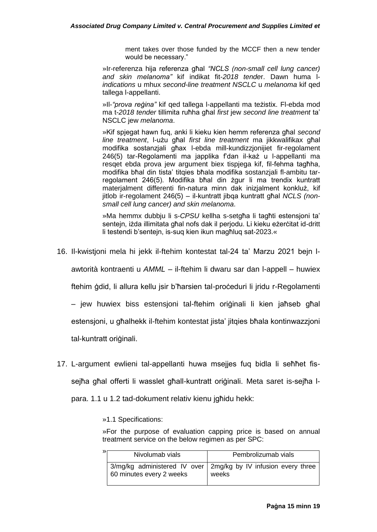ment takes over those funded by the MCCF then a new tender would be necessary."

»Ir-referenza hija referenza għal *"NCLS (non-small cell lung cancer) and skin melanoma"* kif indikat fit-*2018 tende*r. Dawn huma l*indications* u mhux *second-line treatment NSCLC* u *melanoma* kif qed tallega l-appellanti.

»Il-*"prova reġina"* kif qed tallega l-appellanti ma teżistix. Fl-ebda mod ma t-*2018 tender* tillimita ruħha għal *first* jew *second line treatment* ta' NSCLC jew *melanoma*.

»Kif spjegat hawn fuq, anki li kieku kien hemm referenza għal *second line treatment*, l-użu għal *first line treatment* ma jikkwalifikax għal modifika sostanzjali għax l-ebda mill-kundizzjonijiet fir-regolament 246(5) tar-Regolamenti ma japplika f'dan il-każ u l-appellanti ma resqet ebda prova jew argument biex tispjega kif, fil-fehma tagħha, modifika bħal din tista' titqies bħala modifika sostanzjali fl-ambitu tarregolament 246(5). Modifika bħal din żgur li ma trendix kuntratt materjalment differenti fin-natura minn dak inizjalment konkluż, kif jitlob ir-regolament 246(5) – il-kuntratt jibqa kuntratt għal *NCLS (nonsmall cell lung cancer) and skin melanoma*.

»Ma hemmx dubbju li s-*CPSU* kellha s-setgħa li tagħti estensjoni ta' sentejn, iżda illimitata għal nofs dak il perjodu. Li kieku eżerċitat id-dritt li testendi b'sentejn, is-suq kien ikun magħluq sat-2023.«

16. Il-kwistjoni mela hi jekk il-ftehim kontestat tal-24 ta' Marzu 2021 bejn l-

awtorità kontraenti u *AMML* – il-ftehim li dwaru sar dan l-appell – huwiex

ftehim ġdid, li allura kellu jsir b'ħarsien tal-proċeduri li jridu r-Regolamenti

– jew huwiex biss estensjoni tal-ftehim oriġinali li kien jaħseb għal

estensjoni, u għalhekk il-ftehim kontestat jista' jitqies bħala kontinwazzjoni

tal-kuntratt oriġinali.

17. L-argument ewlieni tal-appellanti huwa msejjes fuq bidla li seħħet fissejħa għal offerti li wasslet għall-kuntratt oriġinali. Meta saret is-sejħa l-

para. 1.1 u 1.2 tad-dokument relativ kienu jgħidu hekk:

»1.1 Specifications:

»For the purpose of evaluation capping price is based on annual treatment service on the below regimen as per SPC:

| $\mathcal{P}$ | Nivolumab vials          | Pembrolizumab vials                                                     |
|---------------|--------------------------|-------------------------------------------------------------------------|
|               | 60 minutes every 2 weeks | 3/mg/kg administered IV over 2mg/kg by IV infusion every three<br>weeks |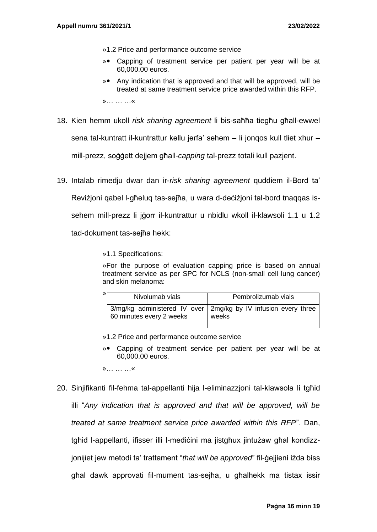- »1.2 Price and performance outcome service
- » Capping of treatment service per patient per year will be at 60,000.00 euros.
- » Any indication that is approved and that will be approved, will be treated at same treatment service price awarded within this RFP. »… … …«
- 18. Kien hemm ukoll *risk sharing agreement* li bis-saħħa tiegħu għall-ewwel sena tal-kuntratt il-kuntrattur kellu jerfa' sehem – li jonqos kull tliet xhur – mill-prezz, soġġett dejjem għall-*capping* tal-prezz totali kull pazjent.
- 19. Intalab rimedju dwar dan ir-*risk sharing agreement* quddiem il-Bord ta'

Reviżjoni qabel l-għeluq tas-sejħa, u wara d-deċiżjoni tal-bord tnaqqas is-

sehem mill-prezz li jġorr il-kuntrattur u nbidlu wkoll il-klawsoli 1.1 u 1.2

tad-dokument tas-sejħa hekk:

»1.1 Specifications:

»For the purpose of evaluation capping price is based on annual treatment service as per SPC for NCLS (non-small cell lung cancer) and skin melanoma:

| ≫ | Nivolumab vials          | Pembrolizumab vials                                                     |
|---|--------------------------|-------------------------------------------------------------------------|
|   | 60 minutes every 2 weeks | 3/mg/kg administered IV over 2mg/kg by IV infusion every three<br>weeks |

»1.2 Price and performance outcome service

» Capping of treatment service per patient per year will be at 60,000.00 euros.

»… … …«

20. Sinjifikanti fil-fehma tal-appellanti hija l-eliminazzjoni tal-klawsola li tgħid illi "*Any indication that is approved and that will be approved, will be treated at same treatment service price awarded within this RFP*". Dan, tgħid l-appellanti, ifisser illi l-mediċini ma jistgħux jintużaw għal kondizzjonijiet jew metodi ta' trattament "*that will be approved*" fil-ġejjieni iżda biss għal dawk approvati fil-mument tas-sejħa, u għalhekk ma tistax issir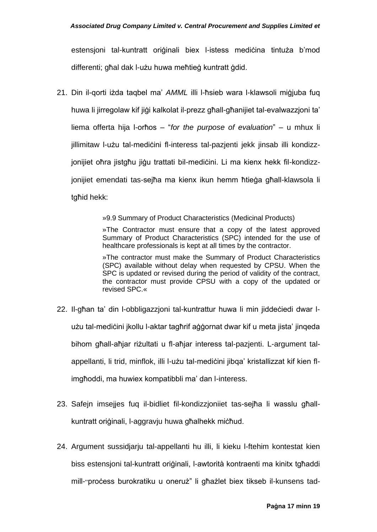estensjoni tal-kuntratt oriģinali biex l-istess medicina tintuża b'mod differenti; għal dak l-użu huwa meħtieġ kuntratt ġdid.

21. Din il-qorti iżda taqbel ma' *AMML* illi l-ħsieb wara l-klawsoli miġjuba fuq huwa li jirregolaw kif jiġi kalkolat il-prezz għall-għanijiet tal-evalwazzjoni ta' liema offerta hija l-orħos – "*for the purpose of evaluation*" – u mhux li jillimitaw l-użu tal-medićini fl-interess tal-pazjenti jekk jinsab illi kondizzjonijiet oħra jistgħu jiġu trattati bil-mediċini. Li ma kienx hekk fil-kondizzjonijiet emendati tas-sejħa ma kienx ikun hemm ħtieġa għall-klawsola li tgħid hekk:

»9.9 Summary of Product Characteristics (Medicinal Products)

»The Contractor must ensure that a copy of the latest approved Summary of Product Characteristics (SPC) intended for the use of healthcare professionals is kept at all times by the contractor.

»The contractor must make the Summary of Product Characteristics (SPC) available without delay when requested by CPSU. When the SPC is updated or revised during the period of validity of the contract, the contractor must provide CPSU with a copy of the updated or revised SPC.«

- 22. Il-għan ta' din l-obbligazzjoni tal-kuntrattur huwa li min jiddeċiedi dwar lużu tal-mediċini jkollu l-aktar tagħrif aġġornat dwar kif u meta jista' jinqeda bihom għall-aħjar riżultati u fl-aħjar interess tal-pazjenti. L-argument talappellanti, li trid, minflok, illi l-użu tal-mediċini jibqa' kristallizzat kif kien flimgħoddi, ma huwiex kompatibbli ma' dan l-interess.
- 23. Safejn imsejjes fuq il-bidliet fil-kondizzjoniiet tas-sejħa li wasslu għallkuntratt oriġinali, l-aggravju huwa għalhekk miċħud.
- 24. Argument sussidjarju tal-appellanti hu illi, li kieku l-ftehim kontestat kien biss estensjoni tal-kuntratt oriġinali, l-awtorità kontraenti ma kinitx tgħaddi mill-"proċess burokratiku u oneruż" li għażlet biex tikseb il-kunsens tad-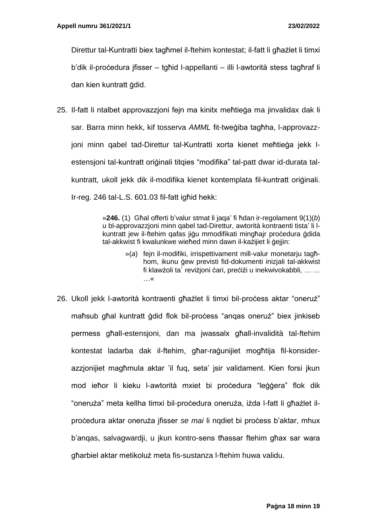Direttur tal-Kuntratti biex tagħmel il-ftehim kontestat; il-fatt li għażlet li timxi b'dik il-proċedura jfisser – tgħid l-appellanti – illi l-awtorità stess tagħraf li dan kien kuntratt ġdid.

25. Il-fatt li ntalbet approvazzjoni fejn ma kinitx meħtieġa ma jinvalidax dak li sar. Barra minn hekk, kif tosserva *AMML* fit-tweġiba tagħha, l-approvazzjoni minn qabel tad-Direttur tal-Kuntratti xorta kienet meħtieġa jekk lestensjoni tal-kuntratt oriġinali titqies "modifika" tal-patt dwar id-durata talkuntratt, ukoll jekk dik il-modifika kienet kontemplata fil-kuntratt oriġinali. Ir-reg. 246 tal-L.S. 601.03 fil-fatt igħid hekk:

> »**246.** (1) Għal offerti b'valur stmat li jaqa' fi ħdan ir-regolament 9(1)(*b*) u bl-approvazzjoni minn qabel tad-Direttur, awtorità kontraenti tista' li lkuntratt jew il-ftehim qafas jiġu mmodifikati mingħajr proċedura ġdida tal-akkwist fi kwalunkwe wieħed minn dawn il-każijiet li ġejjin:

- »(*a*) fejn il-modifiki, irrispettivament mill-valur monetarju tagħhom, ikunu ġew previsti fid-dokumenti inizjali tal-akkwist fi klawżoli ta' reviżjoni ċari, preċiżi u inekwivokabbli, … … …«
- 26. Ukoll jekk l-awtorità kontraenti għażlet li timxi bil-proċess aktar "oneruż" maħsub għal kuntratt ġdid flok bil-proċess "anqas oneruż" biex jinkiseb permess għall-estensjoni, dan ma jwassalx għall-invalidità tal-ftehim kontestat ladarba dak il-ftehim, għar-raġunijiet mogħtija fil-konsiderazzjonijiet magħmula aktar 'il fuq, seta' jsir validament. Kien forsi jkun mod ieħor li kieku l-awtorità mxiet bi proċedura "leġġera" flok dik "oneruża" meta kellha timxi bil-proċedura oneruża, iżda l-fatt li għażlet ilproċedura aktar oneruża jfisser *se mai* li nqdiet bi proċess b'aktar, mhux b'anqas, salvagwardji, u jkun kontro-sens tħassar ftehim għax sar wara għarbiel aktar metikoluż meta fis-sustanza l-ftehim huwa validu.